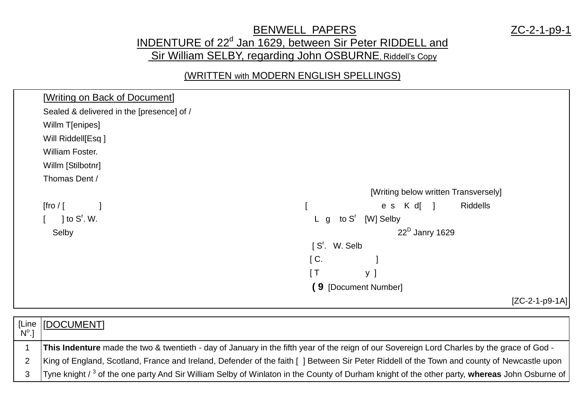## BENWELL PAPERS ZC-2-1-p9-1 INDENTURE of 22<sup>d</sup> Jan 1629, between Sir Peter RIDDELL and Sir William SELBY, regarding John OSBURNE, Riddell's Copy

## (WRITTEN with MODERN ENGLISH SPELLINGS)



| [Line   [DOCUMENT]                                                                                                                                       |
|----------------------------------------------------------------------------------------------------------------------------------------------------------|
| This Indenture made the two & twentieth - day of January in the fifth year of the reign of our Sovereign Lord Charles by the grace of God -              |
| King of England, Scotland, France and Ireland, Defender of the faith [] Between Sir Peter Riddell of the Town and county of Newcastle upon               |
| Tyne knight / <sup>3</sup> of the one party And Sir William Selby of Winlaton in the County of Durham knight of the other party, whereas John Osburne of |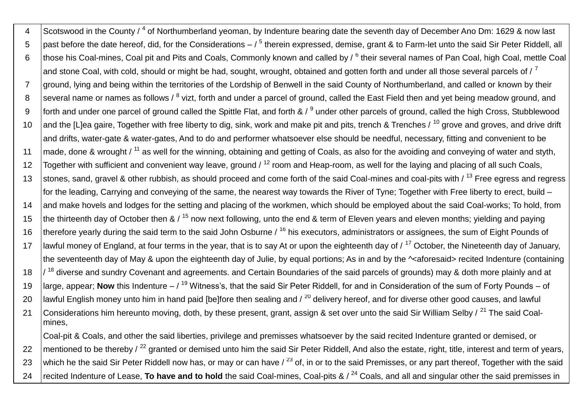4 Scotswood in the County / <sup>4</sup> of Northumberland yeoman, by Indenture bearing date the seventh day of December Ano Dm: 1629 & now last 5  $\,$   $\,$  past before the date hereof, did, for the Considerations – /  $^5$  therein expressed, demise, grant & to Farm-let unto the said Sir Peter Riddell, all 6 | those his Coal-mines, Coal pit and Pits and Coals, Commonly known and called by / <sup>6</sup> their several names of Pan Coal, high Coal, mettle Coal and stone Coal, with cold, should or might be had, sought, wrought, obtained and gotten forth and under all those several parcels of  $\ell^7$ 7 ground, Iving and being within the territories of the Lordship of Benwell in the said County of Northumberland, and called or known by their 8 Several name or names as follows / <sup>8</sup> vizt, forth and under a parcel of ground, called the East Field then and yet being meadow ground, and 9 | forth and under one parcel of ground called the Spittle Flat, and forth & / <sup>9</sup> under other parcels of ground, called the high Cross, Stubblewood 10 and the [L]ea gaire, Together with free liberty to dig, sink, work and make pit and pits, trench & Trenches / <sup>10</sup> grove and groves, and drive drift and drifts, water-gate & water-gates, And to do and performer whatsoever else should be needful, necessary, fitting and convenient to be 11  $\vert$  made, done & wrought / <sup>11</sup> as well for the winning, obtaining and getting of Coals, as also for the avoiding and conveying of water and styth, 12 Together with sufficient and convenient way leave, ground  $\ell^{12}$  room and Heap-room, as well for the laying and placing of all such Coals, 13 stones, sand, gravel & other rubbish, as should proceed and come forth of the said Coal-mines and coal-pits with / <sup>13</sup> Free egress and regress for the leading, Carrying and conveying of the same, the nearest way towards the River of Tyne; Together with Free liberty to erect, build – 14 and make hovels and lodges for the setting and placing of the workmen, which should be employed about the said Coal-works; To hold, from 15 the thirteenth day of October then &  $/15$  now next following, unto the end & term of Eleven years and eleven months; yielding and paying 16 Itherefore vearly during the said term to the said John Osburne  $\ell^{16}$  his executors, administrators or assignees, the sum of Eight Pounds of 17 | lawful money of England, at four terms in the year, that is to say At or upon the eighteenth day of  $\ell$ <sup>17</sup> October, the Nineteenth day of January, the seventeenth day of May & upon the eighteenth day of Julie, by equal portions; As in and by the ^<aforesaid> recited Indenture (containing 18  $\frac{1}{3}$  diverse and sundry Covenant and agreements. and Certain Boundaries of the said parcels of grounds) may & doth more plainly and at 19 large, appear; **Now** this Indenture – / <sup>19</sup> Witness's, that the said Sir Peter Riddell, for and in Consideration of the sum of Forty Pounds – of 20 | lawful English money unto him in hand paid [be]fore then sealing and  $/20$  delivery hereof, and for diverse other good causes, and lawful 21 Considerations him hereunto moving, doth, by these present, grant, assign & set over unto the said Sir William Selby / <sup>21</sup> The said Coalmines, Coal-pit & Coals, and other the said liberties, privilege and premisses whatsoever by the said recited Indenture granted or demised, or 22 mentioned to be thereby  $\frac{22}{12}$  granted or demised unto him the said Sir Peter Riddell, And also the estate, right, title, interest and term of years, 23 which he the said Sir Peter Riddell now has, or may or can have  $\ell^{23}$  of, in or to the said Premisses, or any part thereof. Together with the said

24 | recited Indenture of Lease, **To have and to hold** the said Coal-mines, Coal-pits & / <sup>24</sup> Coals, and all and singular other the said premisses in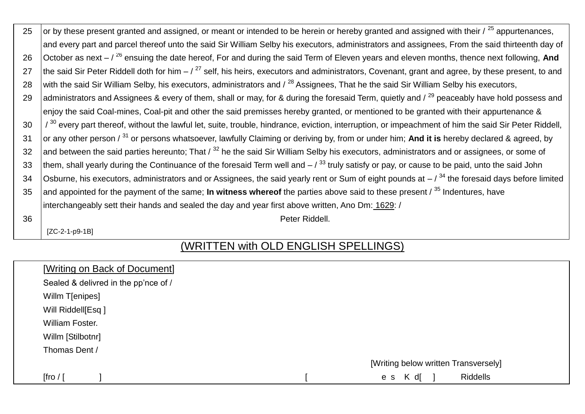| 25 | or by these present granted and assigned, or meant or intended to be herein or hereby granted and assigned with their $\ell^{25}$ appurtenances,        |
|----|---------------------------------------------------------------------------------------------------------------------------------------------------------|
|    | and every part and parcel thereof unto the said Sir William Selby his executors, administrators and assignees, From the said thirteenth day of          |
| 26 | October as next $-$ / $^{26}$ ensuing the date hereof, For and during the said Term of Eleven years and eleven months, thence next following, And       |
| 27 | the said Sir Peter Riddell doth for him $-7^{27}$ self, his heirs, executors and administrators, Covenant, grant and agree, by these present, to and    |
| 28 | with the said Sir William Selby, his executors, administrators and / <sup>28</sup> Assignees, That he the said Sir William Selby his executors,         |
| 29 | administrators and Assignees & every of them, shall or may, for & during the foresaid Term, quietly and / <sup>29</sup> peaceably have hold possess and |
|    | enjoy the said Coal-mines, Coal-pit and other the said premisses hereby granted, or mentioned to be granted with their appurtenance &                   |
| 30 | / 30 every part thereof, without the lawful let, suite, trouble, hindrance, eviction, interruption, or impeachment of him the said Sir Peter Riddell,   |
| 31 | or any other person / <sup>31</sup> or persons whatsoever, lawfully Claiming or deriving by, from or under him; And it is hereby declared & agreed, by  |
| 32 | and between the said parties hereunto; That $\ell^{32}$ he the said Sir William Selby his executors, administrators and or assignees, or some of        |
| 33 | them, shall yearly during the Continuance of the foresaid Term well and $-7^{33}$ truly satisfy or pay, or cause to be paid, unto the said John         |
| 34 | Osburne, his executors, administrators and or Assignees, the said yearly rent or Sum of eight pounds at $-$ / $^{34}$ the foresaid days before limited  |
| 35 | and appointed for the payment of the same; In witness whereof the parties above said to these present $\beta^{35}$ Indentures, have                     |
|    | interchangeably sett their hands and sealed the day and year first above written, Ano Dm: 1629: /                                                       |
| 36 | Peter Riddell.                                                                                                                                          |
|    | $[ZC-2-1-p9-1B]$                                                                                                                                        |

## (WRITTEN with OLD ENGLISH SPELLINGS)

| [Writing on Back of Document]        |                                      |
|--------------------------------------|--------------------------------------|
| Sealed & delivred in the pp'nce of / |                                      |
| Willm T[enipes]                      |                                      |
| Will Riddell[Esq]                    |                                      |
| William Foster.                      |                                      |
| Willm [Stilbotnr]                    |                                      |
| Thomas Dent /                        |                                      |
|                                      | [Writing below written Transversely] |
| [fro $/$ [                           | <b>Riddells</b><br>es K d[           |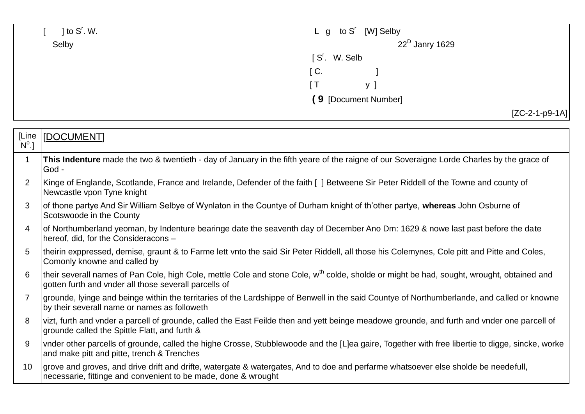|                | $\vert$ to S <sup>r</sup> . W.                                                                                                                                                                                 | to S <sup>r</sup> [W] Selby<br>$L$ g |  |
|----------------|----------------------------------------------------------------------------------------------------------------------------------------------------------------------------------------------------------------|--------------------------------------|--|
|                | Selby                                                                                                                                                                                                          | $22^D$ Janry 1629                    |  |
|                |                                                                                                                                                                                                                | [S'. W. Selb                         |  |
|                |                                                                                                                                                                                                                | $\mathsf{C}$ .                       |  |
|                |                                                                                                                                                                                                                | [T]<br>y ]                           |  |
|                |                                                                                                                                                                                                                | (9 [Document Number]                 |  |
|                |                                                                                                                                                                                                                | $[ZC-2-1-p9-1A]$                     |  |
|                |                                                                                                                                                                                                                |                                      |  |
| [Line          | [DOCUMENT]                                                                                                                                                                                                     |                                      |  |
| $N^{\circ}$ .] |                                                                                                                                                                                                                |                                      |  |
| $\mathbf{1}$   | This Indenture made the two & twentieth - day of January in the fifth yeare of the raigne of our Soveraigne Lorde Charles by the grace of<br>God -                                                             |                                      |  |
| $\overline{2}$ | Kinge of Englande, Scotlande, France and Irelande, Defender of the faith [] Betweene Sir Peter Riddell of the Towne and county of<br>Newcastle vpon Tyne knight                                                |                                      |  |
| 3              | of thone partye And Sir William Selbye of Wynlaton in the Countye of Durham knight of th'other partye, whereas John Osburne of<br>Scotswoode in the County                                                     |                                      |  |
| 4              | of Northumberland yeoman, by Indenture bearinge date the seaventh day of December Ano Dm: 1629 & nowe last past before the date<br>hereof, did, for the Consideracons -                                        |                                      |  |
| 5              | theirin exppressed, demise, graunt & to Farme lett vnto the said Sir Peter Riddell, all those his Colemynes, Cole pitt and Pitte and Coles,<br>Comonly knowne and called by                                    |                                      |  |
| 6              | their severall names of Pan Cole, high Cole, mettle Cole and stone Cole, w <sup>th</sup> colde, sholde or might be had, sought, wrought, obtained and<br>gotten furth and vnder all those severall parcells of |                                      |  |
| $\overline{7}$ | grounde, lyinge and beinge within the territaries of the Lardshippe of Benwell in the said Countye of Northumberlande, and called or knowne<br>by their severall name or names as followeth                    |                                      |  |
| 8              | vizt, furth and vnder a parcell of grounde, called the East Feilde then and yett beinge meadowe grounde, and furth and vnder one parcell of<br>grounde called the Spittle Flatt, and furth &                   |                                      |  |
| 9              | vnder other parcells of grounde, called the highe Crosse, Stubblewoode and the [L]ea gaire, Together with free libertie to digge, sincke, worke<br>and make pitt and pitte, trench & Trenches                  |                                      |  |
| 10             | grove and groves, and drive drift and drifte, watergate & watergates, And to doe and perfarme whatsoever else sholde be needefull,<br>necessarie, fittinge and convenient to be made, done & wrought           |                                      |  |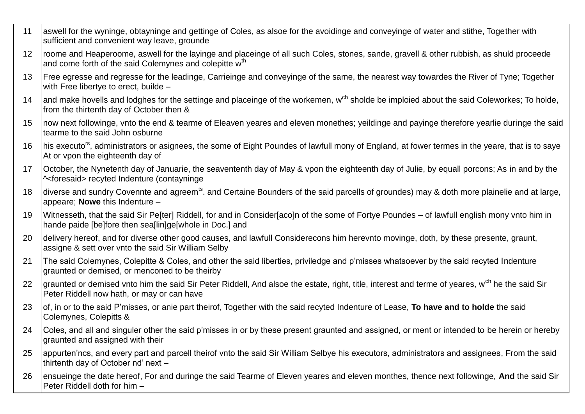| 11 | aswell for the wyninge, obtayninge and gettinge of Coles, as alsoe for the avoidinge and conveyinge of water and stithe, Together with<br>sufficient and convenient way leave, grounde                        |
|----|---------------------------------------------------------------------------------------------------------------------------------------------------------------------------------------------------------------|
| 12 | roome and Heaperoome, aswell for the layinge and placeinge of all such Coles, stones, sande, gravell & other rubbish, as shuld proceede<br>and come forth of the said Colemynes and colepitte w <sup>th</sup> |
| 13 | Free egresse and regresse for the leadinge, Carrieinge and conveyinge of the same, the nearest way towardes the River of Tyne; Together<br>with Free libertye to erect, builde -                              |
| 14 | and make hovells and lodghes for the settinge and placeinge of the workemen, w <sup>ch</sup> sholde be imploied about the said Coleworkes; To holde,<br>from the thirtenth day of October then &              |
| 15 | now next followinge, vnto the end & tearme of Eleaven yeares and eleven monethes; yeildinge and payinge therefore yearlie duringe the said<br>tearme to the said John osburne                                 |
| 16 | his executo <sup>rs</sup> , administrators or asignees, the some of Eight Poundes of lawfull mony of England, at fower termes in the yeare, that is to saye<br>At or vpon the eighteenth day of               |
| 17 | October, the Nynetenth day of Januarie, the seavententh day of May & vpon the eighteenth day of Julie, by equall porcons; As in and by the<br>^ <foresaid> recyted Indenture (contayninge</foresaid>          |
| 18 | diverse and sundry Covennte and agreem <sup>ts</sup> . and Certaine Bounders of the said parcells of groundes) may & doth more plainelie and at large,<br>appeare; Nowe this Indenture -                      |
| 19 | Witnesseth, that the said Sir Pe[ter] Riddell, for and in Consider[aco]n of the some of Fortye Poundes - of lawfull english mony vnto him in<br>hande paide [be]fore then sea[lin]ge[whole in Doc.] and       |
| 20 | delivery hereof, and for diverse other good causes, and lawfull Considerecons him herevnto movinge, doth, by these presente, graunt,<br>assigne & sett over vnto the said Sir William Selby                   |
| 21 | The said Colemynes, Colepitte & Coles, and other the said liberties, priviledge and p'misses whatsoever by the said recyted Indenture<br>graunted or demised, or menconed to be theirby                       |
| 22 | graunted or demised vnto him the said Sir Peter Riddell, And alsoe the estate, right, title, interest and terme of yeares, w <sup>ch</sup> he the said Sir<br>Peter Riddell now hath, or may or can have      |
| 23 | of, in or to the said P'misses, or anie part theirof, Together with the said recyted Indenture of Lease, To have and to holde the said<br>Colemynes, Colepitts &                                              |
| 24 | Coles, and all and singuler other the said p'misses in or by these present graunted and assigned, or ment or intended to be herein or hereby<br>graunted and assigned with their                              |
| 25 | appurten'ncs, and every part and parcell theirof vnto the said Sir William Selbye his executors, administrators and assignees, From the said<br>thirtenth day of October nd' next -                           |
| 26 | ensueinge the date hereof, For and duringe the said Tearme of Eleven yeares and eleven monthes, thence next followinge, And the said Sir<br>Peter Riddell doth for him -                                      |